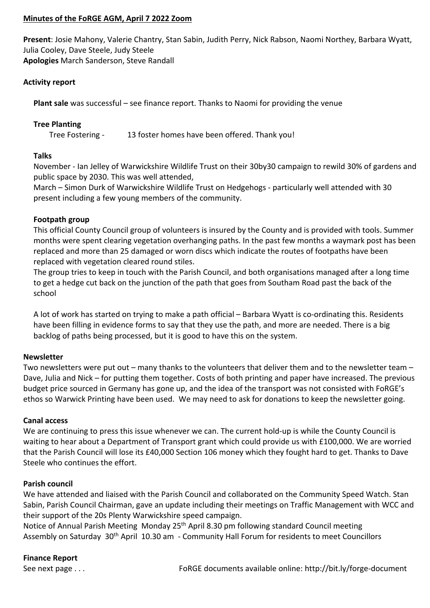## **Minutes of the FoRGE AGM, April 7 2022 Zoom**

**Present**: Josie Mahony, Valerie Chantry, Stan Sabin, Judith Perry, Nick Rabson, Naomi Northey, Barbara Wyatt, Julia Cooley, Dave Steele, Judy Steele **Apologies** March Sanderson, Steve Randall

#### **Activity report**

**Plant sale** was successful – see finance report. Thanks to Naomi for providing the venue

### **Tree Planting**

Tree Fostering - 13 foster homes have been offered. Thank you!

#### **Talks**

November - Ian Jelley of Warwickshire Wildlife Trust on their 30by30 campaign to rewild 30% of gardens and public space by 2030. This was well attended,

March – Simon Durk of Warwickshire Wildlife Trust on Hedgehogs - particularly well attended with 30 present including a few young members of the community.

#### **Footpath group**

This official County Council group of volunteers is insured by the County and is provided with tools. Summer months were spent clearing vegetation overhanging paths. In the past few months a waymark post has been replaced and more than 25 damaged or worn discs which indicate the routes of footpaths have been replaced with vegetation cleared round stiles.

The group tries to keep in touch with the Parish Council, and both organisations managed after a long time to get a hedge cut back on the junction of the path that goes from Southam Road past the back of the school

A lot of work has started on trying to make a path official – Barbara Wyatt is co-ordinating this. Residents have been filling in evidence forms to say that they use the path, and more are needed. There is a big backlog of paths being processed, but it is good to have this on the system.

#### **Newsletter**

Two newsletters were put out – many thanks to the volunteers that deliver them and to the newsletter team – Dave, Julia and Nick – for putting them together. Costs of both printing and paper have increased. The previous budget price sourced in Germany has gone up, and the idea of the transport was not consisted with FoRGE's ethos so Warwick Printing have been used. We may need to ask for donations to keep the newsletter going.

#### **Canal access**

We are continuing to press this issue whenever we can. The current hold-up is while the County Council is waiting to hear about a Department of Transport grant which could provide us with £100,000. We are worried that the Parish Council will lose its £40,000 Section 106 money which they fought hard to get. Thanks to Dave Steele who continues the effort.

#### **Parish council**

We have attended and liaised with the Parish Council and collaborated on the Community Speed Watch. Stan Sabin, Parish Council Chairman, gave an update including their meetings on Traffic Management with WCC and their support of the 20s Plenty Warwickshire speed campaign.

Notice of Annual Parish Meeting Monday 25<sup>th</sup> April 8.30 pm following standard Council meeting Assembly on Saturday 30<sup>th</sup> April 10.30 am - Community Hall Forum for residents to meet Councillors

#### **Finance Report**